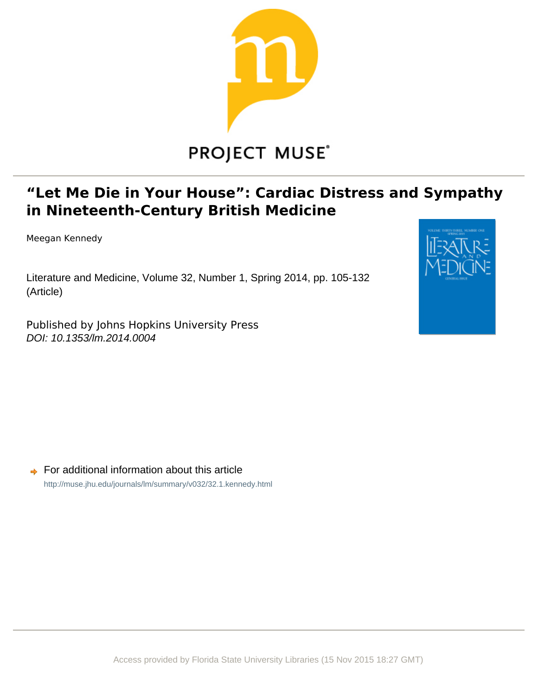

# "Let Me Die in Your House": Cardiac Distress and Sympathy **In Nineteenth-Century British Medicine**

Meegan Kennedy

Literature and Medicine, Volume 32, Number 1, Spring 2014, pp. 105-132 (Article)

Published by Johns Hopkins University Press DOI: 10.1353/lm.2014.0004



 $\rightarrow$  For additional information about this article <http://muse.jhu.edu/journals/lm/summary/v032/32.1.kennedy.html>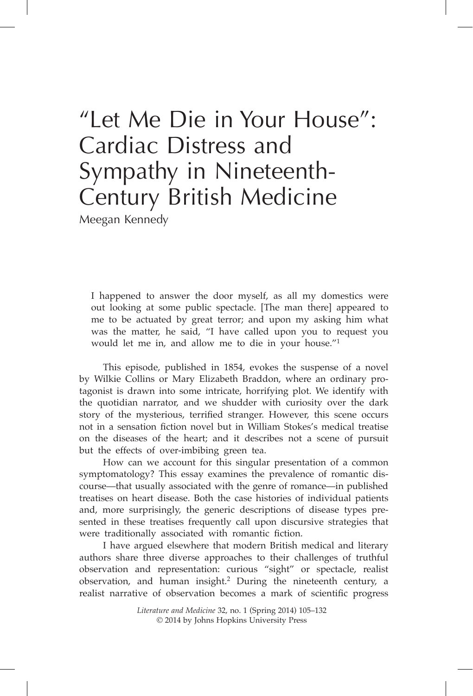## "Let Me Die in Your House": Cardiac Distress and Sympathy in Nineteenth-Century British Medicine

Meegan Kennedy

I happened to answer the door myself, as all my domestics were out looking at some public spectacle. [The man there] appeared to me to be actuated by great terror; and upon my asking him what was the matter, he said, "I have called upon you to request you would let me in, and allow me to die in your house."1

This episode, published in 1854, evokes the suspense of a novel by Wilkie Collins or Mary Elizabeth Braddon, where an ordinary protagonist is drawn into some intricate, horrifying plot. We identify with the quotidian narrator, and we shudder with curiosity over the dark story of the mysterious, terrified stranger. However, this scene occurs not in a sensation fiction novel but in William Stokes's medical treatise on the diseases of the heart; and it describes not a scene of pursuit but the effects of over-imbibing green tea.

How can we account for this singular presentation of a common symptomatology? This essay examines the prevalence of romantic discourse—that usually associated with the genre of romance—in published treatises on heart disease. Both the case histories of individual patients and, more surprisingly, the generic descriptions of disease types presented in these treatises frequently call upon discursive strategies that were traditionally associated with romantic fiction.

I have argued elsewhere that modern British medical and literary authors share three diverse approaches to their challenges of truthful observation and representation: curious "sight" or spectacle, realist observation, and human insight.2 During the nineteenth century, a realist narrative of observation becomes a mark of scientific progress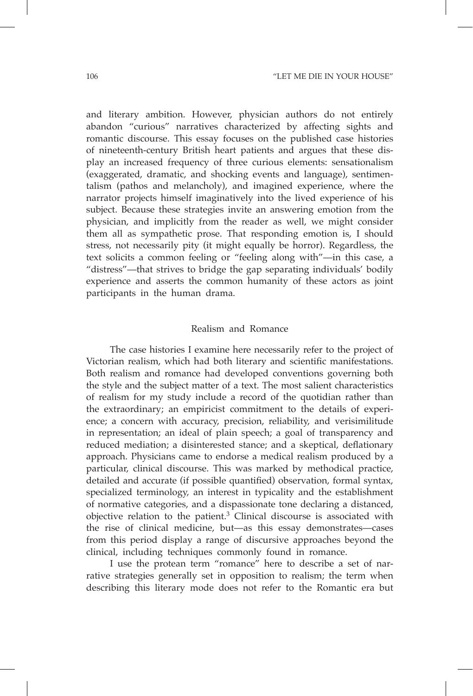and literary ambition. However, physician authors do not entirely abandon "curious" narratives characterized by affecting sights and romantic discourse. This essay focuses on the published case histories of nineteenth-century British heart patients and argues that these display an increased frequency of three curious elements: sensationalism (exaggerated, dramatic, and shocking events and language), sentimentalism (pathos and melancholy), and imagined experience, where the narrator projects himself imaginatively into the lived experience of his subject. Because these strategies invite an answering emotion from the physician, and implicitly from the reader as well, we might consider them all as sympathetic prose. That responding emotion is, I should stress, not necessarily pity (it might equally be horror). Regardless, the text solicits a common feeling or "feeling along with"—in this case, a "distress"—that strives to bridge the gap separating individuals' bodily experience and asserts the common humanity of these actors as joint participants in the human drama.

#### Realism and Romance

The case histories I examine here necessarily refer to the project of Victorian realism, which had both literary and scientific manifestations. Both realism and romance had developed conventions governing both the style and the subject matter of a text. The most salient characteristics of realism for my study include a record of the quotidian rather than the extraordinary; an empiricist commitment to the details of experience; a concern with accuracy, precision, reliability, and verisimilitude in representation; an ideal of plain speech; a goal of transparency and reduced mediation; a disinterested stance; and a skeptical, deflationary approach. Physicians came to endorse a medical realism produced by a particular, clinical discourse. This was marked by methodical practice, detailed and accurate (if possible quantified) observation, formal syntax, specialized terminology, an interest in typicality and the establishment of normative categories, and a dispassionate tone declaring a distanced, objective relation to the patient.3 Clinical discourse is associated with the rise of clinical medicine, but—as this essay demonstrates—cases from this period display a range of discursive approaches beyond the clinical, including techniques commonly found in romance.

I use the protean term "romance" here to describe a set of narrative strategies generally set in opposition to realism; the term when describing this literary mode does not refer to the Romantic era but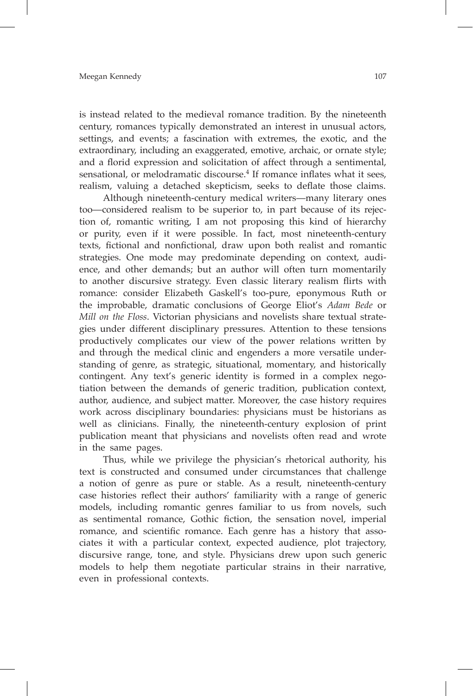is instead related to the medieval romance tradition. By the nineteenth century, romances typically demonstrated an interest in unusual actors, settings, and events; a fascination with extremes, the exotic, and the extraordinary, including an exaggerated, emotive, archaic, or ornate style; and a florid expression and solicitation of affect through a sentimental, sensational, or melodramatic discourse.<sup>4</sup> If romance inflates what it sees, realism, valuing a detached skepticism, seeks to deflate those claims.

Although nineteenth-century medical writers—many literary ones too—considered realism to be superior to, in part because of its rejection of, romantic writing, I am not proposing this kind of hierarchy or purity, even if it were possible. In fact, most nineteenth-century texts, fictional and nonfictional, draw upon both realist and romantic strategies. One mode may predominate depending on context, audience, and other demands; but an author will often turn momentarily to another discursive strategy. Even classic literary realism flirts with romance: consider Elizabeth Gaskell's too-pure, eponymous Ruth or the improbable, dramatic conclusions of George Eliot's *Adam Bede* or *Mill on the Floss*. Victorian physicians and novelists share textual strategies under different disciplinary pressures. Attention to these tensions productively complicates our view of the power relations written by and through the medical clinic and engenders a more versatile understanding of genre, as strategic, situational, momentary, and historically contingent. Any text's generic identity is formed in a complex negotiation between the demands of generic tradition, publication context, author, audience, and subject matter. Moreover, the case history requires work across disciplinary boundaries: physicians must be historians as well as clinicians. Finally, the nineteenth-century explosion of print publication meant that physicians and novelists often read and wrote in the same pages.

Thus, while we privilege the physician's rhetorical authority, his text is constructed and consumed under circumstances that challenge a notion of genre as pure or stable. As a result, nineteenth-century case histories reflect their authors' familiarity with a range of generic models, including romantic genres familiar to us from novels, such as sentimental romance, Gothic fiction, the sensation novel, imperial romance, and scientific romance. Each genre has a history that associates it with a particular context, expected audience, plot trajectory, discursive range, tone, and style. Physicians drew upon such generic models to help them negotiate particular strains in their narrative, even in professional contexts.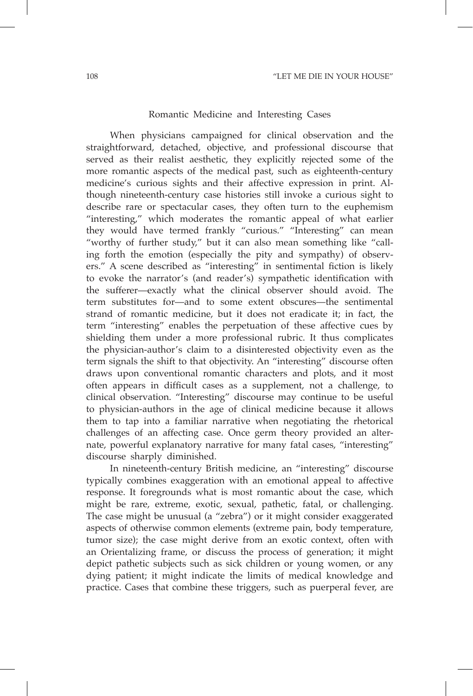#### Romantic Medicine and Interesting Cases

When physicians campaigned for clinical observation and the straightforward, detached, objective, and professional discourse that served as their realist aesthetic, they explicitly rejected some of the more romantic aspects of the medical past, such as eighteenth-century medicine's curious sights and their affective expression in print. Although nineteenth-century case histories still invoke a curious sight to describe rare or spectacular cases, they often turn to the euphemism "interesting," which moderates the romantic appeal of what earlier they would have termed frankly "curious." "Interesting" can mean "worthy of further study," but it can also mean something like "calling forth the emotion (especially the pity and sympathy) of observers." A scene described as "interesting" in sentimental fiction is likely to evoke the narrator's (and reader's) sympathetic identification with the sufferer—exactly what the clinical observer should avoid. The term substitutes for—and to some extent obscures—the sentimental strand of romantic medicine, but it does not eradicate it; in fact, the term "interesting" enables the perpetuation of these affective cues by shielding them under a more professional rubric. It thus complicates the physician-author's claim to a disinterested objectivity even as the term signals the shift to that objectivity. An "interesting" discourse often draws upon conventional romantic characters and plots, and it most often appears in difficult cases as a supplement, not a challenge, to clinical observation. "Interesting" discourse may continue to be useful to physician-authors in the age of clinical medicine because it allows them to tap into a familiar narrative when negotiating the rhetorical challenges of an affecting case. Once germ theory provided an alternate, powerful explanatory narrative for many fatal cases, "interesting" discourse sharply diminished.

In nineteenth-century British medicine, an "interesting" discourse typically combines exaggeration with an emotional appeal to affective response. It foregrounds what is most romantic about the case, which might be rare, extreme, exotic, sexual, pathetic, fatal, or challenging. The case might be unusual (a "zebra") or it might consider exaggerated aspects of otherwise common elements (extreme pain, body temperature, tumor size); the case might derive from an exotic context, often with an Orientalizing frame, or discuss the process of generation; it might depict pathetic subjects such as sick children or young women, or any dying patient; it might indicate the limits of medical knowledge and practice. Cases that combine these triggers, such as puerperal fever, are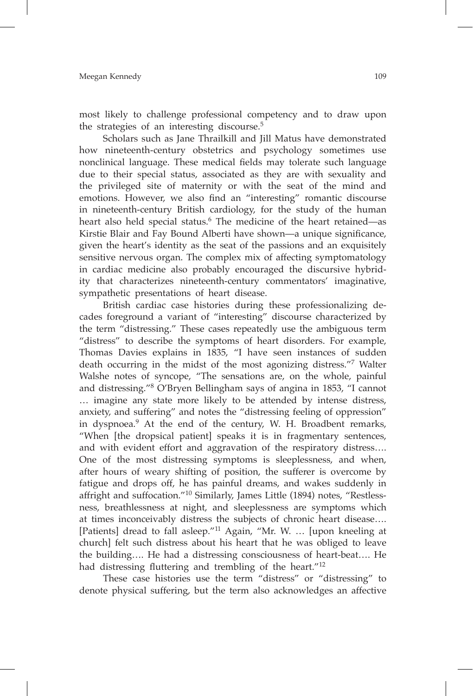most likely to challenge professional competency and to draw upon the strategies of an interesting discourse.<sup>5</sup>

Scholars such as Jane Thrailkill and Jill Matus have demonstrated how nineteenth-century obstetrics and psychology sometimes use nonclinical language. These medical fields may tolerate such language due to their special status, associated as they are with sexuality and the privileged site of maternity or with the seat of the mind and emotions. However, we also find an "interesting" romantic discourse in nineteenth-century British cardiology, for the study of the human heart also held special status.<sup>6</sup> The medicine of the heart retained—as Kirstie Blair and Fay Bound Alberti have shown—a unique significance, given the heart's identity as the seat of the passions and an exquisitely sensitive nervous organ. The complex mix of affecting symptomatology in cardiac medicine also probably encouraged the discursive hybridity that characterizes nineteenth-century commentators' imaginative, sympathetic presentations of heart disease.

British cardiac case histories during these professionalizing decades foreground a variant of "interesting" discourse characterized by the term "distressing." These cases repeatedly use the ambiguous term "distress" to describe the symptoms of heart disorders. For example, Thomas Davies explains in 1835, "I have seen instances of sudden death occurring in the midst of the most agonizing distress."7 Walter Walshe notes of syncope, "The sensations are, on the whole, painful and distressing."<sup>8</sup> O'Bryen Bellingham says of angina in 1853, "I cannot … imagine any state more likely to be attended by intense distress, anxiety, and suffering" and notes the "distressing feeling of oppression" in dyspnoea.9 At the end of the century, W. H. Broadbent remarks, "When [the dropsical patient] speaks it is in fragmentary sentences, and with evident effort and aggravation of the respiratory distress…. One of the most distressing symptoms is sleeplessness, and when, after hours of weary shifting of position, the sufferer is overcome by fatigue and drops off, he has painful dreams, and wakes suddenly in affright and suffocation."10 Similarly, James Little (1894) notes, "Restlessness, breathlessness at night, and sleeplessness are symptoms which at times inconceivably distress the subjects of chronic heart disease…. [Patients] dread to fall asleep."<sup>11</sup> Again, "Mr. W. ... [upon kneeling at church] felt such distress about his heart that he was obliged to leave the building…. He had a distressing consciousness of heart-beat…. He had distressing fluttering and trembling of the heart."<sup>12</sup>

These case histories use the term "distress" or "distressing" to denote physical suffering, but the term also acknowledges an affective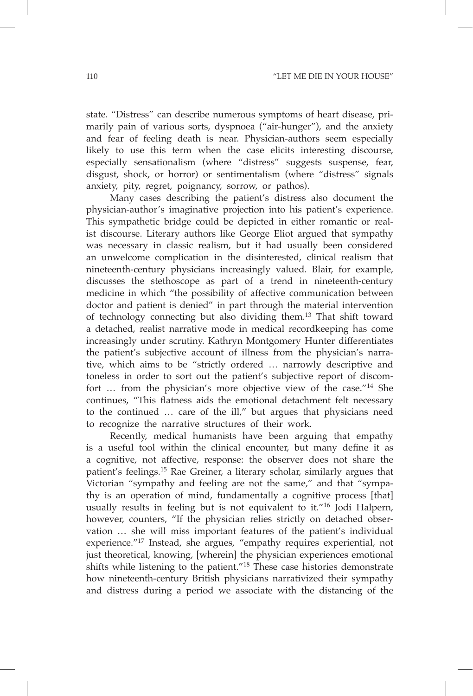state. "Distress" can describe numerous symptoms of heart disease, primarily pain of various sorts, dyspnoea ("air-hunger"), and the anxiety and fear of feeling death is near. Physician-authors seem especially likely to use this term when the case elicits interesting discourse, especially sensationalism (where "distress" suggests suspense, fear, disgust, shock, or horror) or sentimentalism (where "distress" signals anxiety, pity, regret, poignancy, sorrow, or pathos).

Many cases describing the patient's distress also document the physician-author's imaginative projection into his patient's experience. This sympathetic bridge could be depicted in either romantic or realist discourse. Literary authors like George Eliot argued that sympathy was necessary in classic realism, but it had usually been considered an unwelcome complication in the disinterested, clinical realism that nineteenth-century physicians increasingly valued. Blair, for example, discusses the stethoscope as part of a trend in nineteenth-century medicine in which "the possibility of affective communication between doctor and patient is denied" in part through the material intervention of technology connecting but also dividing them.13 That shift toward a detached, realist narrative mode in medical recordkeeping has come increasingly under scrutiny. Kathryn Montgomery Hunter differentiates the patient's subjective account of illness from the physician's narrative, which aims to be "strictly ordered … narrowly descriptive and toneless in order to sort out the patient's subjective report of discomfort … from the physician's more objective view of the case."14 She continues, "This flatness aids the emotional detachment felt necessary to the continued … care of the ill," but argues that physicians need to recognize the narrative structures of their work.

Recently, medical humanists have been arguing that empathy is a useful tool within the clinical encounter, but many define it as a cognitive, not affective, response: the observer does not share the patient's feelings.15 Rae Greiner, a literary scholar, similarly argues that Victorian "sympathy and feeling are not the same," and that "sympathy is an operation of mind, fundamentally a cognitive process [that] usually results in feeling but is not equivalent to it."16 Jodi Halpern, however, counters, "If the physician relies strictly on detached observation … she will miss important features of the patient's individual experience."17 Instead, she argues, "empathy requires experiential, not just theoretical, knowing, [wherein] the physician experiences emotional shifts while listening to the patient."18 These case histories demonstrate how nineteenth-century British physicians narrativized their sympathy and distress during a period we associate with the distancing of the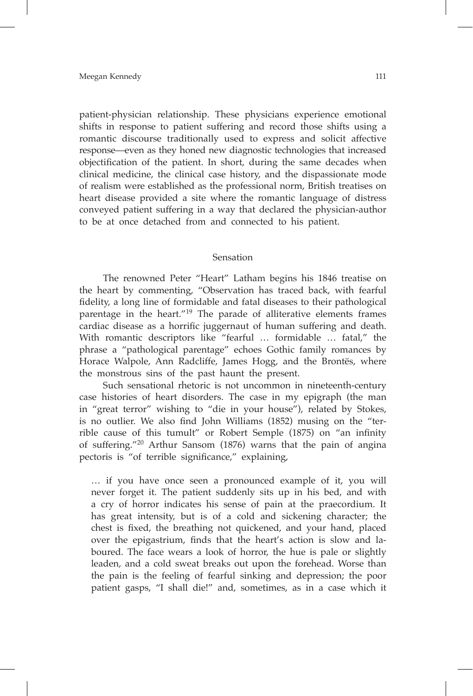patient-physician relationship. These physicians experience emotional shifts in response to patient suffering and record those shifts using a romantic discourse traditionally used to express and solicit affective response—even as they honed new diagnostic technologies that increased objectification of the patient. In short, during the same decades when clinical medicine, the clinical case history, and the dispassionate mode of realism were established as the professional norm, British treatises on heart disease provided a site where the romantic language of distress conveyed patient suffering in a way that declared the physician-author to be at once detached from and connected to his patient.

#### Sensation

The renowned Peter "Heart" Latham begins his 1846 treatise on the heart by commenting, "Observation has traced back, with fearful fidelity, a long line of formidable and fatal diseases to their pathological parentage in the heart."19 The parade of alliterative elements frames cardiac disease as a horrific juggernaut of human suffering and death. With romantic descriptors like "fearful … formidable … fatal," the phrase a "pathological parentage" echoes Gothic family romances by Horace Walpole, Ann Radcliffe, James Hogg, and the Brontës, where the monstrous sins of the past haunt the present.

Such sensational rhetoric is not uncommon in nineteenth-century case histories of heart disorders. The case in my epigraph (the man in "great terror" wishing to "die in your house"), related by Stokes, is no outlier. We also find John Williams (1852) musing on the "terrible cause of this tumult" or Robert Semple (1875) on "an infinity of suffering."20 Arthur Sansom (1876) warns that the pain of angina pectoris is "of terrible significance," explaining,

… if you have once seen a pronounced example of it, you will never forget it. The patient suddenly sits up in his bed, and with a cry of horror indicates his sense of pain at the praecordium. It has great intensity, but is of a cold and sickening character; the chest is fixed, the breathing not quickened, and your hand, placed over the epigastrium, finds that the heart's action is slow and laboured. The face wears a look of horror, the hue is pale or slightly leaden, and a cold sweat breaks out upon the forehead. Worse than the pain is the feeling of fearful sinking and depression; the poor patient gasps, "I shall die!" and, sometimes, as in a case which it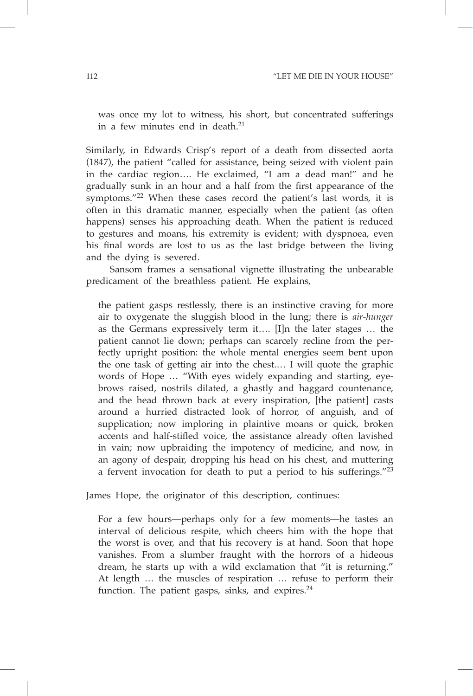was once my lot to witness, his short, but concentrated sufferings in a few minutes end in death. $21$ 

Similarly, in Edwards Crisp's report of a death from dissected aorta (1847), the patient "called for assistance, being seized with violent pain in the cardiac region…. He exclaimed, "I am a dead man!" and he gradually sunk in an hour and a half from the first appearance of the symptoms."22 When these cases record the patient's last words, it is often in this dramatic manner, especially when the patient (as often happens) senses his approaching death. When the patient is reduced to gestures and moans, his extremity is evident; with dyspnoea, even his final words are lost to us as the last bridge between the living and the dying is severed.

Sansom frames a sensational vignette illustrating the unbearable predicament of the breathless patient. He explains,

the patient gasps restlessly, there is an instinctive craving for more air to oxygenate the sluggish blood in the lung; there is *air-hunger* as the Germans expressively term it…. [I]n the later stages … the patient cannot lie down; perhaps can scarcely recline from the perfectly upright position: the whole mental energies seem bent upon the one task of getting air into the chest.… I will quote the graphic words of Hope … "With eyes widely expanding and starting, eyebrows raised, nostrils dilated, a ghastly and haggard countenance, and the head thrown back at every inspiration, [the patient] casts around a hurried distracted look of horror, of anguish, and of supplication; now imploring in plaintive moans or quick, broken accents and half-stifled voice, the assistance already often lavished in vain; now upbraiding the impotency of medicine, and now, in an agony of despair, dropping his head on his chest, and muttering a fervent invocation for death to put a period to his sufferings."<sup>23</sup>

James Hope, the originator of this description, continues:

For a few hours—perhaps only for a few moments—he tastes an interval of delicious respite, which cheers him with the hope that the worst is over, and that his recovery is at hand. Soon that hope vanishes. From a slumber fraught with the horrors of a hideous dream, he starts up with a wild exclamation that "it is returning." At length … the muscles of respiration … refuse to perform their function. The patient gasps, sinks, and expires. $24$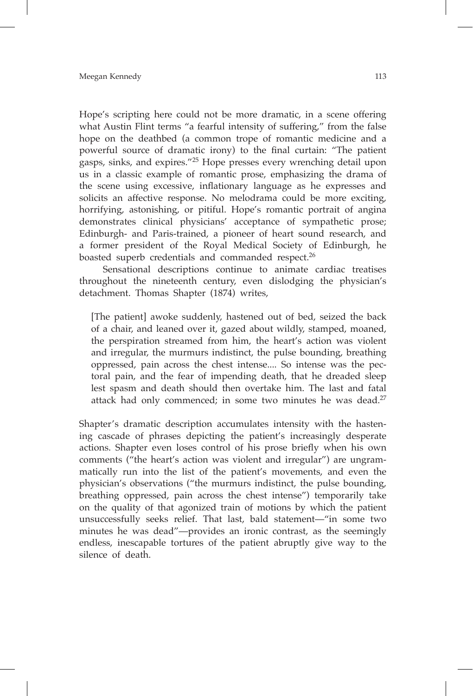Hope's scripting here could not be more dramatic, in a scene offering what Austin Flint terms "a fearful intensity of suffering," from the false hope on the deathbed (a common trope of romantic medicine and a powerful source of dramatic irony) to the final curtain: "The patient gasps, sinks, and expires."25 Hope presses every wrenching detail upon us in a classic example of romantic prose, emphasizing the drama of the scene using excessive, inflationary language as he expresses and solicits an affective response. No melodrama could be more exciting, horrifying, astonishing, or pitiful. Hope's romantic portrait of angina demonstrates clinical physicians' acceptance of sympathetic prose; Edinburgh- and Paris-trained, a pioneer of heart sound research, and a former president of the Royal Medical Society of Edinburgh, he boasted superb credentials and commanded respect.<sup>26</sup>

Sensational descriptions continue to animate cardiac treatises throughout the nineteenth century, even dislodging the physician's detachment. Thomas Shapter (1874) writes,

[The patient] awoke suddenly, hastened out of bed, seized the back of a chair, and leaned over it, gazed about wildly, stamped, moaned, the perspiration streamed from him, the heart's action was violent and irregular, the murmurs indistinct, the pulse bounding, breathing oppressed, pain across the chest intense.... So intense was the pectoral pain, and the fear of impending death, that he dreaded sleep lest spasm and death should then overtake him. The last and fatal attack had only commenced; in some two minutes he was dead. $27$ 

Shapter's dramatic description accumulates intensity with the hastening cascade of phrases depicting the patient's increasingly desperate actions. Shapter even loses control of his prose briefly when his own comments ("the heart's action was violent and irregular") are ungrammatically run into the list of the patient's movements, and even the physician's observations ("the murmurs indistinct, the pulse bounding, breathing oppressed, pain across the chest intense") temporarily take on the quality of that agonized train of motions by which the patient unsuccessfully seeks relief. That last, bald statement—"in some two minutes he was dead"—provides an ironic contrast, as the seemingly endless, inescapable tortures of the patient abruptly give way to the silence of death.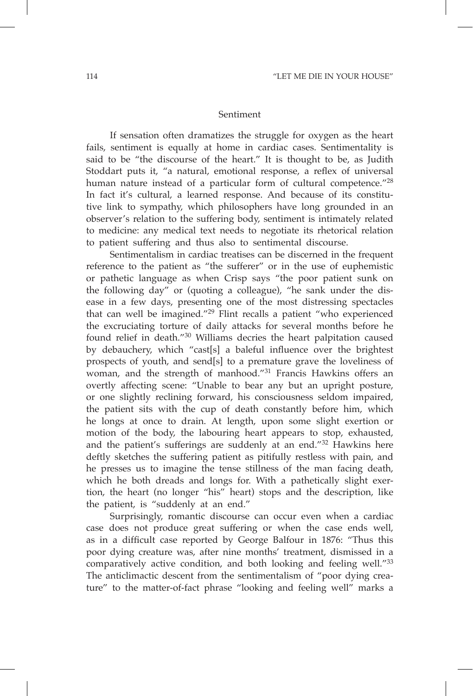#### Sentiment

If sensation often dramatizes the struggle for oxygen as the heart fails, sentiment is equally at home in cardiac cases. Sentimentality is said to be "the discourse of the heart." It is thought to be, as Judith Stoddart puts it, "a natural, emotional response, a reflex of universal human nature instead of a particular form of cultural competence."<sup>28</sup> In fact it's cultural, a learned response. And because of its constitutive link to sympathy, which philosophers have long grounded in an observer's relation to the suffering body, sentiment is intimately related to medicine: any medical text needs to negotiate its rhetorical relation to patient suffering and thus also to sentimental discourse.

Sentimentalism in cardiac treatises can be discerned in the frequent reference to the patient as "the sufferer" or in the use of euphemistic or pathetic language as when Crisp says "the poor patient sunk on the following day" or (quoting a colleague), "he sank under the disease in a few days, presenting one of the most distressing spectacles that can well be imagined."29 Flint recalls a patient "who experienced the excruciating torture of daily attacks for several months before he found relief in death."30 Williams decries the heart palpitation caused by debauchery, which "cast[s] a baleful influence over the brightest prospects of youth, and send[s] to a premature grave the loveliness of woman, and the strength of manhood."31 Francis Hawkins offers an overtly affecting scene: "Unable to bear any but an upright posture, or one slightly reclining forward, his consciousness seldom impaired, the patient sits with the cup of death constantly before him, which he longs at once to drain. At length, upon some slight exertion or motion of the body, the labouring heart appears to stop, exhausted, and the patient's sufferings are suddenly at an end."32 Hawkins here deftly sketches the suffering patient as pitifully restless with pain, and he presses us to imagine the tense stillness of the man facing death, which he both dreads and longs for. With a pathetically slight exertion, the heart (no longer "his" heart) stops and the description, like the patient, is "suddenly at an end."

Surprisingly, romantic discourse can occur even when a cardiac case does not produce great suffering or when the case ends well, as in a difficult case reported by George Balfour in 1876: "Thus this poor dying creature was, after nine months' treatment, dismissed in a comparatively active condition, and both looking and feeling well."<sup>33</sup> The anticlimactic descent from the sentimentalism of "poor dying creature" to the matter-of-fact phrase "looking and feeling well" marks a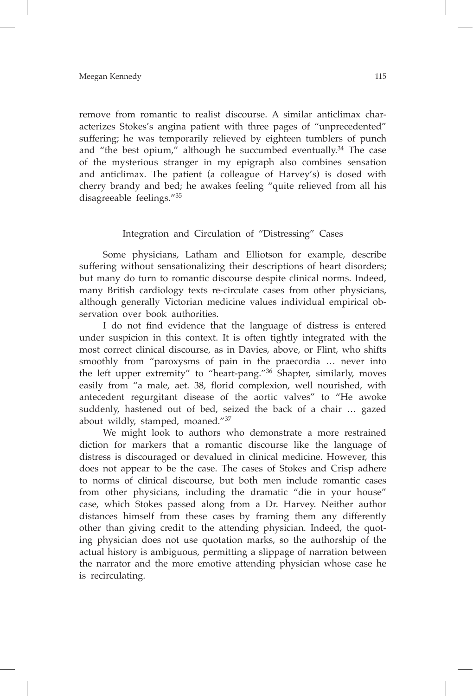remove from romantic to realist discourse. A similar anticlimax characterizes Stokes's angina patient with three pages of "unprecedented" suffering; he was temporarily relieved by eighteen tumblers of punch and "the best opium," although he succumbed eventually.<sup>34</sup> The case of the mysterious stranger in my epigraph also combines sensation and anticlimax. The patient (a colleague of Harvey's) is dosed with cherry brandy and bed; he awakes feeling "quite relieved from all his disagreeable feelings."<sup>35</sup>

### Integration and Circulation of "Distressing" Cases

Some physicians, Latham and Elliotson for example, describe suffering without sensationalizing their descriptions of heart disorders; but many do turn to romantic discourse despite clinical norms. Indeed, many British cardiology texts re-circulate cases from other physicians, although generally Victorian medicine values individual empirical observation over book authorities.

I do not find evidence that the language of distress is entered under suspicion in this context. It is often tightly integrated with the most correct clinical discourse, as in Davies, above, or Flint, who shifts smoothly from "paroxysms of pain in the praecordia … never into the left upper extremity" to "heart-pang."36 Shapter, similarly, moves easily from "a male, aet. 38, florid complexion, well nourished, with antecedent regurgitant disease of the aortic valves" to "He awoke suddenly, hastened out of bed, seized the back of a chair … gazed about wildly, stamped, moaned."37

We might look to authors who demonstrate a more restrained diction for markers that a romantic discourse like the language of distress is discouraged or devalued in clinical medicine. However, this does not appear to be the case. The cases of Stokes and Crisp adhere to norms of clinical discourse, but both men include romantic cases from other physicians, including the dramatic "die in your house" case, which Stokes passed along from a Dr. Harvey. Neither author distances himself from these cases by framing them any differently other than giving credit to the attending physician. Indeed, the quoting physician does not use quotation marks, so the authorship of the actual history is ambiguous, permitting a slippage of narration between the narrator and the more emotive attending physician whose case he is recirculating.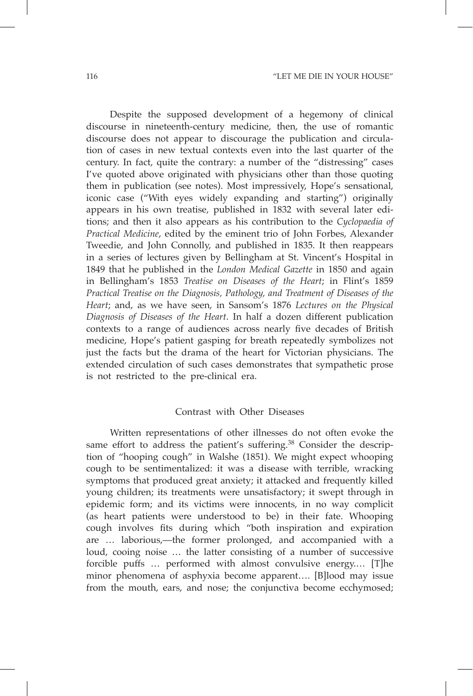Despite the supposed development of a hegemony of clinical discourse in nineteenth-century medicine, then, the use of romantic discourse does not appear to discourage the publication and circulation of cases in new textual contexts even into the last quarter of the century. In fact, quite the contrary: a number of the "distressing" cases I've quoted above originated with physicians other than those quoting them in publication (see notes). Most impressively, Hope's sensational, iconic case ("With eyes widely expanding and starting") originally appears in his own treatise, published in 1832 with several later editions; and then it also appears as his contribution to the *Cyclopaedia of Practical Medicine*, edited by the eminent trio of John Forbes, Alexander Tweedie, and John Connolly, and published in 1835. It then reappears in a series of lectures given by Bellingham at St. Vincent's Hospital in 1849 that he published in the *London Medical Gazette* in 1850 and again in Bellingham's 1853 *Treatise on Diseases of the Heart*; in Flint's 1859 *Practical Treatise on the Diagnosis, Pathology, and Treatment of Diseases of the Heart*; and, as we have seen, in Sansom's 1876 *Lectures on the Physical Diagnosis of Diseases of the Heart*. In half a dozen different publication contexts to a range of audiences across nearly five decades of British medicine, Hope's patient gasping for breath repeatedly symbolizes not just the facts but the drama of the heart for Victorian physicians. The extended circulation of such cases demonstrates that sympathetic prose is not restricted to the pre-clinical era.

### Contrast with Other Diseases

Written representations of other illnesses do not often evoke the same effort to address the patient's suffering.<sup>38</sup> Consider the description of "hooping cough" in Walshe (1851). We might expect whooping cough to be sentimentalized: it was a disease with terrible, wracking symptoms that produced great anxiety; it attacked and frequently killed young children; its treatments were unsatisfactory; it swept through in epidemic form; and its victims were innocents, in no way complicit (as heart patients were understood to be) in their fate. Whooping cough involves fits during which "both inspiration and expiration are … laborious,—the former prolonged, and accompanied with a loud, cooing noise … the latter consisting of a number of successive forcible puffs … performed with almost convulsive energy.… [T]he minor phenomena of asphyxia become apparent…. [B]lood may issue from the mouth, ears, and nose; the conjunctiva become ecchymosed;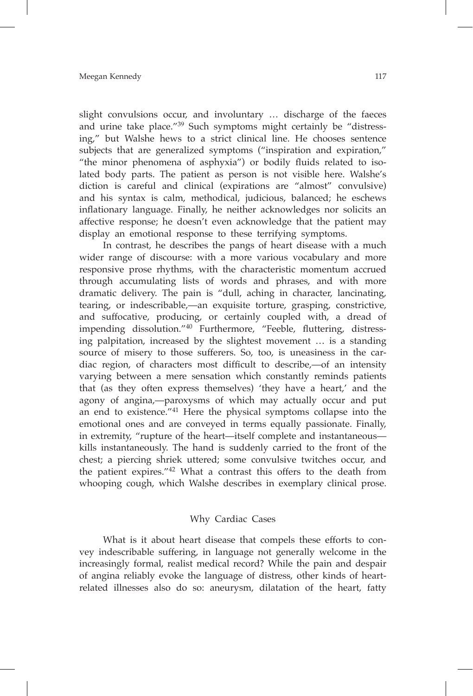slight convulsions occur, and involuntary … discharge of the faeces and urine take place."39 Such symptoms might certainly be "distressing," but Walshe hews to a strict clinical line. He chooses sentence subjects that are generalized symptoms ("inspiration and expiration," "the minor phenomena of asphyxia") or bodily fluids related to isolated body parts. The patient as person is not visible here. Walshe's diction is careful and clinical (expirations are "almost" convulsive) and his syntax is calm, methodical, judicious, balanced; he eschews inflationary language. Finally, he neither acknowledges nor solicits an affective response; he doesn't even acknowledge that the patient may display an emotional response to these terrifying symptoms.

In contrast, he describes the pangs of heart disease with a much wider range of discourse: with a more various vocabulary and more responsive prose rhythms, with the characteristic momentum accrued through accumulating lists of words and phrases, and with more dramatic delivery. The pain is "dull, aching in character, lancinating, tearing, or indescribable,—an exquisite torture, grasping, constrictive, and suffocative, producing, or certainly coupled with, a dread of impending dissolution."<sup>40</sup> Furthermore, "Feeble, fluttering, distressing palpitation, increased by the slightest movement … is a standing source of misery to those sufferers. So, too, is uneasiness in the cardiac region, of characters most difficult to describe,—of an intensity varying between a mere sensation which constantly reminds patients that (as they often express themselves) 'they have a heart,' and the agony of angina,—paroxysms of which may actually occur and put an end to existence."41 Here the physical symptoms collapse into the emotional ones and are conveyed in terms equally passionate. Finally, in extremity, "rupture of the heart—itself complete and instantaneous kills instantaneously. The hand is suddenly carried to the front of the chest; a piercing shriek uttered; some convulsive twitches occur, and the patient expires."42 What a contrast this offers to the death from whooping cough, which Walshe describes in exemplary clinical prose.

#### Why Cardiac Cases

What is it about heart disease that compels these efforts to convey indescribable suffering, in language not generally welcome in the increasingly formal, realist medical record? While the pain and despair of angina reliably evoke the language of distress, other kinds of heartrelated illnesses also do so: aneurysm, dilatation of the heart, fatty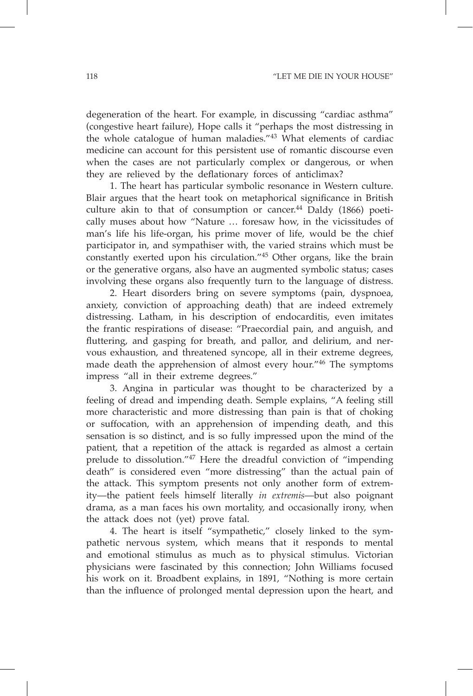degeneration of the heart. For example, in discussing "cardiac asthma" (congestive heart failure), Hope calls it "perhaps the most distressing in the whole catalogue of human maladies."43 What elements of cardiac medicine can account for this persistent use of romantic discourse even when the cases are not particularly complex or dangerous, or when they are relieved by the deflationary forces of anticlimax?

1. The heart has particular symbolic resonance in Western culture. Blair argues that the heart took on metaphorical significance in British culture akin to that of consumption or cancer.<sup>44</sup> Daldy (1866) poetically muses about how "Nature … foresaw how, in the vicissitudes of man's life his life-organ, his prime mover of life, would be the chief participator in, and sympathiser with, the varied strains which must be constantly exerted upon his circulation."45 Other organs, like the brain or the generative organs, also have an augmented symbolic status; cases involving these organs also frequently turn to the language of distress.

2. Heart disorders bring on severe symptoms (pain, dyspnoea, anxiety, conviction of approaching death) that are indeed extremely distressing. Latham, in his description of endocarditis, even imitates the frantic respirations of disease: "Praecordial pain, and anguish, and fluttering, and gasping for breath, and pallor, and delirium, and nervous exhaustion, and threatened syncope, all in their extreme degrees, made death the apprehension of almost every hour."46 The symptoms impress "all in their extreme degrees."

3. Angina in particular was thought to be characterized by a feeling of dread and impending death. Semple explains, "A feeling still more characteristic and more distressing than pain is that of choking or suffocation, with an apprehension of impending death, and this sensation is so distinct, and is so fully impressed upon the mind of the patient, that a repetition of the attack is regarded as almost a certain prelude to dissolution."47 Here the dreadful conviction of "impending death" is considered even "more distressing" than the actual pain of the attack. This symptom presents not only another form of extremity—the patient feels himself literally *in extremis*—but also poignant drama, as a man faces his own mortality, and occasionally irony, when the attack does not (yet) prove fatal.

4. The heart is itself "sympathetic," closely linked to the sympathetic nervous system, which means that it responds to mental and emotional stimulus as much as to physical stimulus. Victorian physicians were fascinated by this connection; John Williams focused his work on it. Broadbent explains, in 1891, "Nothing is more certain than the influence of prolonged mental depression upon the heart, and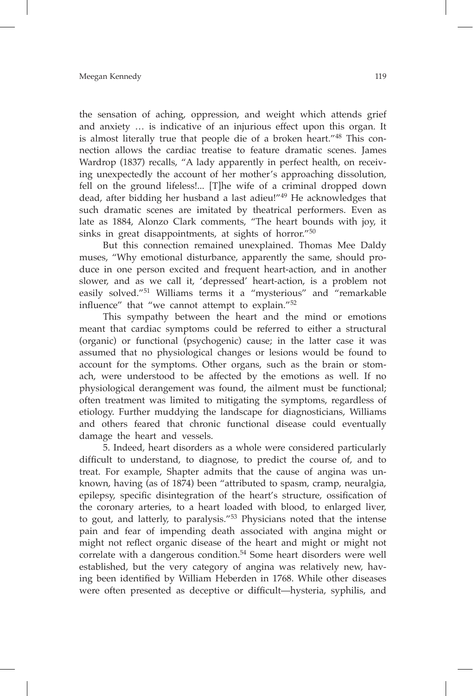the sensation of aching, oppression, and weight which attends grief and anxiety … is indicative of an injurious effect upon this organ. It is almost literally true that people die of a broken heart."48 This connection allows the cardiac treatise to feature dramatic scenes. James Wardrop (1837) recalls, "A lady apparently in perfect health, on receiving unexpectedly the account of her mother's approaching dissolution, fell on the ground lifeless!... [T]he wife of a criminal dropped down dead, after bidding her husband a last adieu!"49 He acknowledges that such dramatic scenes are imitated by theatrical performers. Even as late as 1884, Alonzo Clark comments, "The heart bounds with joy, it sinks in great disappointments, at sights of horror."<sup>50</sup>

But this connection remained unexplained. Thomas Mee Daldy muses, "Why emotional disturbance, apparently the same, should produce in one person excited and frequent heart-action, and in another slower, and as we call it, 'depressed' heart-action, is a problem not easily solved."51 Williams terms it a "mysterious" and "remarkable influence" that "we cannot attempt to explain."<sup>52</sup>

This sympathy between the heart and the mind or emotions meant that cardiac symptoms could be referred to either a structural (organic) or functional (psychogenic) cause; in the latter case it was assumed that no physiological changes or lesions would be found to account for the symptoms. Other organs, such as the brain or stomach, were understood to be affected by the emotions as well. If no physiological derangement was found, the ailment must be functional; often treatment was limited to mitigating the symptoms, regardless of etiology. Further muddying the landscape for diagnosticians, Williams and others feared that chronic functional disease could eventually damage the heart and vessels.

5. Indeed, heart disorders as a whole were considered particularly difficult to understand, to diagnose, to predict the course of, and to treat. For example, Shapter admits that the cause of angina was unknown, having (as of 1874) been "attributed to spasm, cramp, neuralgia, epilepsy, specific disintegration of the heart's structure, ossification of the coronary arteries, to a heart loaded with blood, to enlarged liver, to gout, and latterly, to paralysis."53 Physicians noted that the intense pain and fear of impending death associated with angina might or might not reflect organic disease of the heart and might or might not correlate with a dangerous condition.<sup>54</sup> Some heart disorders were well established, but the very category of angina was relatively new, having been identified by William Heberden in 1768. While other diseases were often presented as deceptive or difficult—hysteria, syphilis, and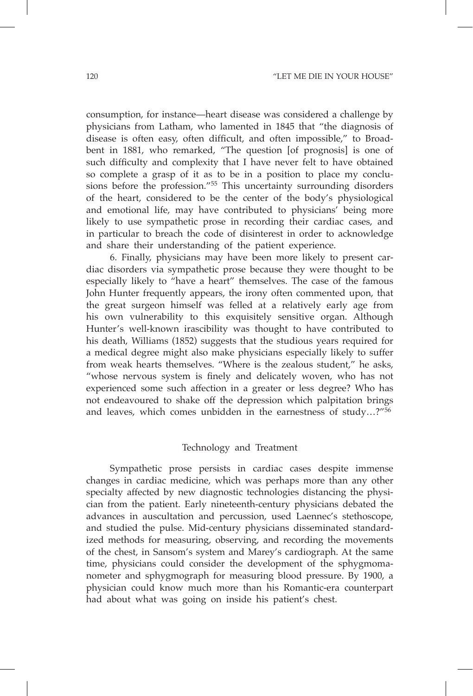consumption, for instance—heart disease was considered a challenge by physicians from Latham, who lamented in 1845 that "the diagnosis of disease is often easy, often difficult, and often impossible," to Broadbent in 1881, who remarked, "The question [of prognosis] is one of such difficulty and complexity that I have never felt to have obtained so complete a grasp of it as to be in a position to place my conclusions before the profession."55 This uncertainty surrounding disorders of the heart, considered to be the center of the body's physiological and emotional life, may have contributed to physicians' being more likely to use sympathetic prose in recording their cardiac cases, and in particular to breach the code of disinterest in order to acknowledge and share their understanding of the patient experience.

6. Finally, physicians may have been more likely to present cardiac disorders via sympathetic prose because they were thought to be especially likely to "have a heart" themselves. The case of the famous John Hunter frequently appears, the irony often commented upon, that the great surgeon himself was felled at a relatively early age from his own vulnerability to this exquisitely sensitive organ. Although Hunter's well-known irascibility was thought to have contributed to his death, Williams (1852) suggests that the studious years required for a medical degree might also make physicians especially likely to suffer from weak hearts themselves. "Where is the zealous student," he asks, "whose nervous system is finely and delicately woven, who has not experienced some such affection in a greater or less degree? Who has not endeavoured to shake off the depression which palpitation brings and leaves, which comes unbidden in the earnestness of study…?"<sup>56</sup>

#### Technology and Treatment

Sympathetic prose persists in cardiac cases despite immense changes in cardiac medicine, which was perhaps more than any other specialty affected by new diagnostic technologies distancing the physician from the patient. Early nineteenth-century physicians debated the advances in auscultation and percussion, used Laennec's stethoscope, and studied the pulse. Mid-century physicians disseminated standardized methods for measuring, observing, and recording the movements of the chest, in Sansom's system and Marey's cardiograph. At the same time, physicians could consider the development of the sphygmomanometer and sphygmograph for measuring blood pressure. By 1900, a physician could know much more than his Romantic-era counterpart had about what was going on inside his patient's chest.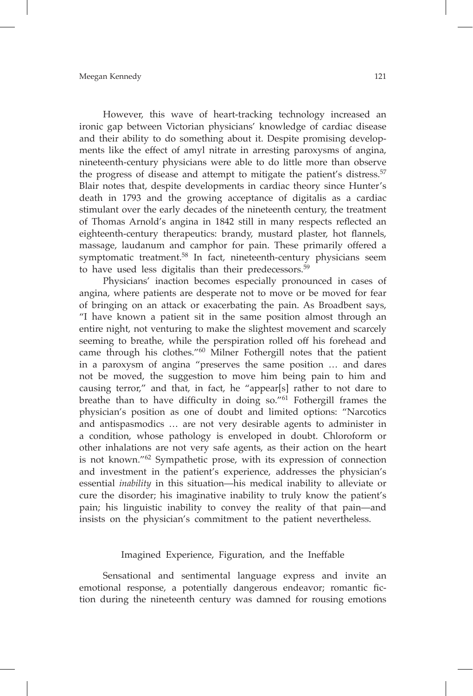However, this wave of heart-tracking technology increased an ironic gap between Victorian physicians' knowledge of cardiac disease and their ability to do something about it. Despite promising developments like the effect of amyl nitrate in arresting paroxysms of angina, nineteenth-century physicians were able to do little more than observe the progress of disease and attempt to mitigate the patient's distress.<sup>57</sup> Blair notes that, despite developments in cardiac theory since Hunter's death in 1793 and the growing acceptance of digitalis as a cardiac stimulant over the early decades of the nineteenth century, the treatment of Thomas Arnold's angina in 1842 still in many respects reflected an eighteenth-century therapeutics: brandy, mustard plaster, hot flannels, massage, laudanum and camphor for pain. These primarily offered a symptomatic treatment.58 In fact, nineteenth-century physicians seem to have used less digitalis than their predecessors. $59$ 

Physicians' inaction becomes especially pronounced in cases of angina, where patients are desperate not to move or be moved for fear of bringing on an attack or exacerbating the pain. As Broadbent says, "I have known a patient sit in the same position almost through an entire night, not venturing to make the slightest movement and scarcely seeming to breathe, while the perspiration rolled off his forehead and came through his clothes."60 Milner Fothergill notes that the patient in a paroxysm of angina "preserves the same position … and dares not be moved, the suggestion to move him being pain to him and causing terror," and that, in fact, he "appear[s] rather to not dare to breathe than to have difficulty in doing so."61 Fothergill frames the physician's position as one of doubt and limited options: "Narcotics and antispasmodics … are not very desirable agents to administer in a condition, whose pathology is enveloped in doubt. Chloroform or other inhalations are not very safe agents, as their action on the heart is not known."62 Sympathetic prose, with its expression of connection and investment in the patient's experience, addresses the physician's essential *inability* in this situation—his medical inability to alleviate or cure the disorder; his imaginative inability to truly know the patient's pain; his linguistic inability to convey the reality of that pain—and insists on the physician's commitment to the patient nevertheless.

#### Imagined Experience, Figuration, and the Ineffable

Sensational and sentimental language express and invite an emotional response, a potentially dangerous endeavor; romantic fiction during the nineteenth century was damned for rousing emotions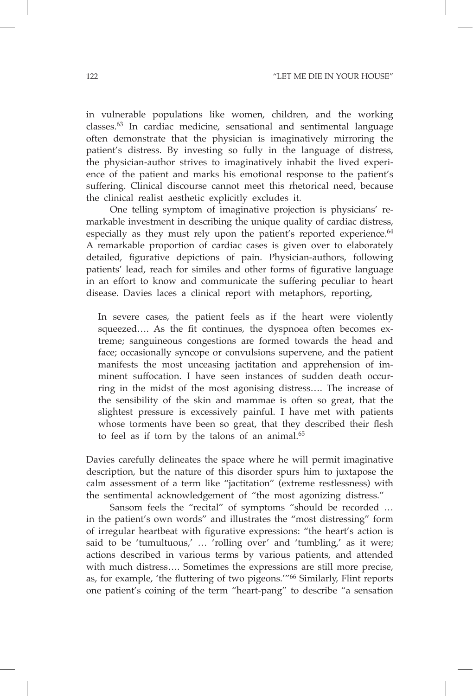in vulnerable populations like women, children, and the working classes.63 In cardiac medicine, sensational and sentimental language often demonstrate that the physician is imaginatively mirroring the patient's distress. By investing so fully in the language of distress, the physician-author strives to imaginatively inhabit the lived experience of the patient and marks his emotional response to the patient's suffering. Clinical discourse cannot meet this rhetorical need, because the clinical realist aesthetic explicitly excludes it.

One telling symptom of imaginative projection is physicians' remarkable investment in describing the unique quality of cardiac distress, especially as they must rely upon the patient's reported experience.<sup>64</sup> A remarkable proportion of cardiac cases is given over to elaborately detailed, figurative depictions of pain. Physician-authors, following patients' lead, reach for similes and other forms of figurative language in an effort to know and communicate the suffering peculiar to heart disease. Davies laces a clinical report with metaphors, reporting,

In severe cases, the patient feels as if the heart were violently squeezed.... As the fit continues, the dyspnoea often becomes extreme; sanguineous congestions are formed towards the head and face; occasionally syncope or convulsions supervene, and the patient manifests the most unceasing jactitation and apprehension of imminent suffocation. I have seen instances of sudden death occurring in the midst of the most agonising distress…. The increase of the sensibility of the skin and mammae is often so great, that the slightest pressure is excessively painful. I have met with patients whose torments have been so great, that they described their flesh to feel as if torn by the talons of an animal.<sup>65</sup>

Davies carefully delineates the space where he will permit imaginative description, but the nature of this disorder spurs him to juxtapose the calm assessment of a term like "jactitation" (extreme restlessness) with the sentimental acknowledgement of "the most agonizing distress."

Sansom feels the "recital" of symptoms "should be recorded … in the patient's own words" and illustrates the "most distressing" form of irregular heartbeat with figurative expressions: "the heart's action is said to be 'tumultuous,' … 'rolling over' and 'tumbling,' as it were; actions described in various terms by various patients, and attended with much distress…. Sometimes the expressions are still more precise, as, for example, 'the fluttering of two pigeons.'"66 Similarly, Flint reports one patient's coining of the term "heart-pang" to describe "a sensation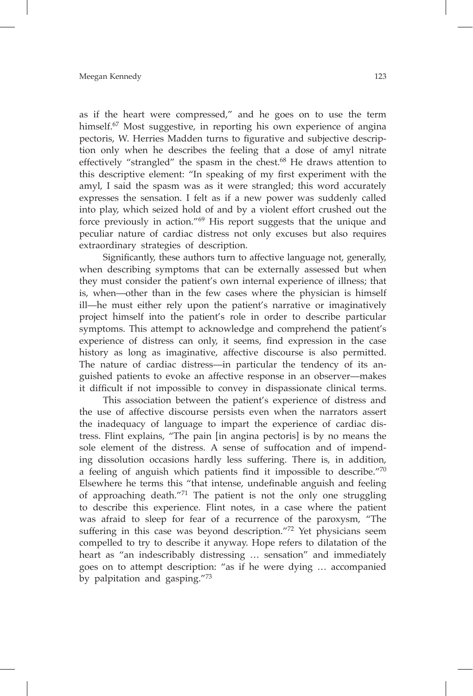as if the heart were compressed," and he goes on to use the term himself.<sup>67</sup> Most suggestive, in reporting his own experience of angina pectoris, W. Herries Madden turns to figurative and subjective description only when he describes the feeling that a dose of amyl nitrate effectively "strangled" the spasm in the chest.<sup>68</sup> He draws attention to this descriptive element: "In speaking of my first experiment with the amyl, I said the spasm was as it were strangled; this word accurately expresses the sensation. I felt as if a new power was suddenly called into play, which seized hold of and by a violent effort crushed out the force previously in action."69 His report suggests that the unique and peculiar nature of cardiac distress not only excuses but also requires extraordinary strategies of description.

Significantly, these authors turn to affective language not, generally, when describing symptoms that can be externally assessed but when they must consider the patient's own internal experience of illness; that is, when—other than in the few cases where the physician is himself ill—he must either rely upon the patient's narrative or imaginatively project himself into the patient's role in order to describe particular symptoms. This attempt to acknowledge and comprehend the patient's experience of distress can only, it seems, find expression in the case history as long as imaginative, affective discourse is also permitted. The nature of cardiac distress—in particular the tendency of its anguished patients to evoke an affective response in an observer—makes it difficult if not impossible to convey in dispassionate clinical terms.

This association between the patient's experience of distress and the use of affective discourse persists even when the narrators assert the inadequacy of language to impart the experience of cardiac distress. Flint explains, "The pain [in angina pectoris] is by no means the sole element of the distress. A sense of suffocation and of impending dissolution occasions hardly less suffering. There is, in addition, a feeling of anguish which patients find it impossible to describe."<sup>70</sup> Elsewhere he terms this "that intense, undefinable anguish and feeling of approaching death."71 The patient is not the only one struggling to describe this experience. Flint notes, in a case where the patient was afraid to sleep for fear of a recurrence of the paroxysm, "The suffering in this case was beyond description."<sup>72</sup> Yet physicians seem compelled to try to describe it anyway. Hope refers to dilatation of the heart as "an indescribably distressing … sensation" and immediately goes on to attempt description: "as if he were dying … accompanied by palpitation and gasping."<sup>73</sup>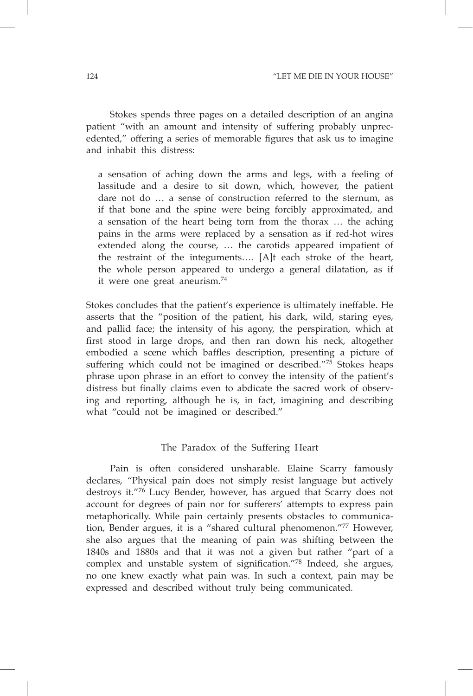Stokes spends three pages on a detailed description of an angina patient "with an amount and intensity of suffering probably unprecedented," offering a series of memorable figures that ask us to imagine and inhabit this distress:

a sensation of aching down the arms and legs, with a feeling of lassitude and a desire to sit down, which, however, the patient dare not do … a sense of construction referred to the sternum, as if that bone and the spine were being forcibly approximated, and a sensation of the heart being torn from the thorax … the aching pains in the arms were replaced by a sensation as if red-hot wires extended along the course, … the carotids appeared impatient of the restraint of the integuments…. [A]t each stroke of the heart, the whole person appeared to undergo a general dilatation, as if it were one great aneurism.<sup>74</sup>

Stokes concludes that the patient's experience is ultimately ineffable. He asserts that the "position of the patient, his dark, wild, staring eyes, and pallid face; the intensity of his agony, the perspiration, which at first stood in large drops, and then ran down his neck, altogether embodied a scene which baffles description, presenting a picture of suffering which could not be imagined or described."<sup>75</sup> Stokes heaps phrase upon phrase in an effort to convey the intensity of the patient's distress but finally claims even to abdicate the sacred work of observing and reporting, although he is, in fact, imagining and describing what "could not be imagined or described."

#### The Paradox of the Suffering Heart

Pain is often considered unsharable. Elaine Scarry famously declares, "Physical pain does not simply resist language but actively destroys it."76 Lucy Bender, however, has argued that Scarry does not account for degrees of pain nor for sufferers' attempts to express pain metaphorically. While pain certainly presents obstacles to communication, Bender argues, it is a "shared cultural phenomenon."77 However, she also argues that the meaning of pain was shifting between the 1840s and 1880s and that it was not a given but rather "part of a complex and unstable system of signification."78 Indeed, she argues, no one knew exactly what pain was. In such a context, pain may be expressed and described without truly being communicated.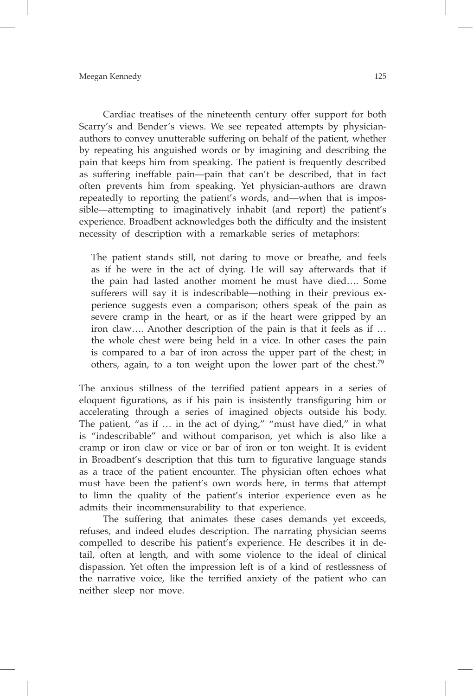Cardiac treatises of the nineteenth century offer support for both Scarry's and Bender's views. We see repeated attempts by physicianauthors to convey unutterable suffering on behalf of the patient, whether by repeating his anguished words or by imagining and describing the pain that keeps him from speaking. The patient is frequently described as suffering ineffable pain—pain that can't be described, that in fact often prevents him from speaking. Yet physician-authors are drawn repeatedly to reporting the patient's words, and—when that is impossible—attempting to imaginatively inhabit (and report) the patient's experience. Broadbent acknowledges both the difficulty and the insistent necessity of description with a remarkable series of metaphors:

The patient stands still, not daring to move or breathe, and feels as if he were in the act of dying. He will say afterwards that if the pain had lasted another moment he must have died…. Some sufferers will say it is indescribable—nothing in their previous experience suggests even a comparison; others speak of the pain as severe cramp in the heart, or as if the heart were gripped by an iron claw…. Another description of the pain is that it feels as if … the whole chest were being held in a vice. In other cases the pain is compared to a bar of iron across the upper part of the chest; in others, again, to a ton weight upon the lower part of the chest.<sup>79</sup>

The anxious stillness of the terrified patient appears in a series of eloquent figurations, as if his pain is insistently transfiguring him or accelerating through a series of imagined objects outside his body. The patient, "as if … in the act of dying," "must have died," in what is "indescribable" and without comparison, yet which is also like a cramp or iron claw or vice or bar of iron or ton weight. It is evident in Broadbent's description that this turn to figurative language stands as a trace of the patient encounter. The physician often echoes what must have been the patient's own words here, in terms that attempt to limn the quality of the patient's interior experience even as he admits their incommensurability to that experience.

The suffering that animates these cases demands yet exceeds, refuses, and indeed eludes description. The narrating physician seems compelled to describe his patient's experience. He describes it in detail, often at length, and with some violence to the ideal of clinical dispassion. Yet often the impression left is of a kind of restlessness of the narrative voice, like the terrified anxiety of the patient who can neither sleep nor move.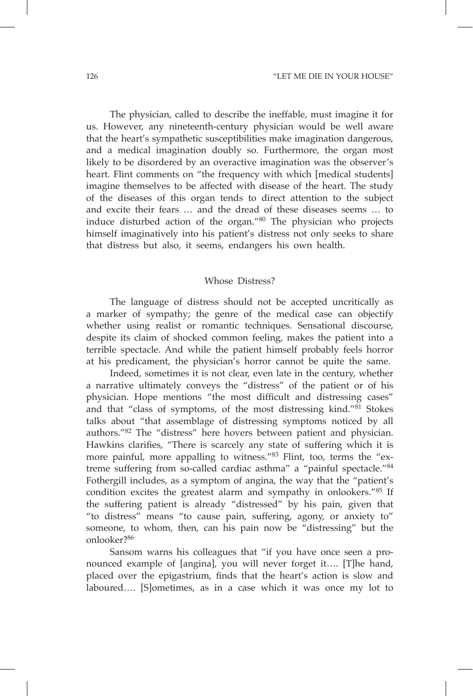The physician, called to describe the ineffable, must imagine it for us. However, any nineteenth-century physician would be well aware that the heart's sympathetic susceptibilities make imagination dangerous, and a medical imagination doubly so. Furthermore, the organ most likely to be disordered by an overactive imagination was the observer's heart. Flint comments on "the frequency with which [medical students] imagine themselves to be affected with disease of the heart. The study of the diseases of this organ tends to direct attention to the subject and excite their fears … and the dread of these diseases seems … to induce disturbed action of the organ."80 The physician who projects himself imaginatively into his patient's distress not only seeks to share that distress but also, it seems, endangers his own health.

#### Whose Distress?

The language of distress should not be accepted uncritically as a marker of sympathy; the genre of the medical case can objectify whether using realist or romantic techniques. Sensational discourse, despite its claim of shocked common feeling, makes the patient into a terrible spectacle. And while the patient himself probably feels horror at his predicament, the physician's horror cannot be quite the same.

Indeed, sometimes it is not clear, even late in the century, whether a narrative ultimately conveys the "distress" of the patient or of his physician. Hope mentions "the most difficult and distressing cases" and that "class of symptoms, of the most distressing kind."<sup>81</sup> Stokes talks about "that assemblage of distressing symptoms noticed by all authors."82 The "distress" here hovers between patient and physician. Hawkins clarifies, "There is scarcely any state of suffering which it is more painful, more appalling to witness."<sup>83</sup> Flint, too, terms the "extreme suffering from so-called cardiac asthma" a "painful spectacle."<sup>84</sup> Fothergill includes, as a symptom of angina, the way that the "patient's condition excites the greatest alarm and sympathy in onlookers."85 If the suffering patient is already "distressed" by his pain, given that "to distress" means "to cause pain, suffering, agony, or anxiety to" someone, to whom, then, can his pain now be "distressing" but the onlooker?86

Sansom warns his colleagues that "if you have once seen a pronounced example of [angina], you will never forget it…. [T]he hand, placed over the epigastrium, finds that the heart's action is slow and laboured…. [S]ometimes, as in a case which it was once my lot to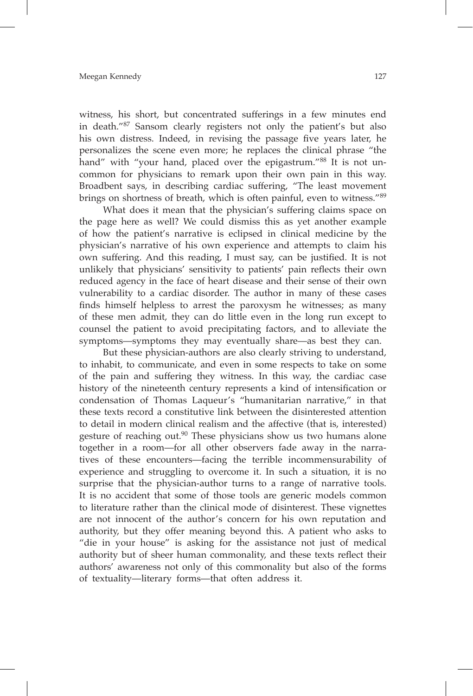witness, his short, but concentrated sufferings in a few minutes end in death."<sup>87</sup> Sansom clearly registers not only the patient's but also his own distress. Indeed, in revising the passage five years later, he personalizes the scene even more; he replaces the clinical phrase "the hand" with "your hand, placed over the epigastrum."<sup>88</sup> It is not uncommon for physicians to remark upon their own pain in this way. Broadbent says, in describing cardiac suffering, "The least movement brings on shortness of breath, which is often painful, even to witness."<sup>89</sup>

What does it mean that the physician's suffering claims space on the page here as well? We could dismiss this as yet another example of how the patient's narrative is eclipsed in clinical medicine by the physician's narrative of his own experience and attempts to claim his own suffering. And this reading, I must say, can be justified. It is not unlikely that physicians' sensitivity to patients' pain reflects their own reduced agency in the face of heart disease and their sense of their own vulnerability to a cardiac disorder. The author in many of these cases finds himself helpless to arrest the paroxysm he witnesses; as many of these men admit, they can do little even in the long run except to counsel the patient to avoid precipitating factors, and to alleviate the symptoms—symptoms they may eventually share—as best they can.

But these physician-authors are also clearly striving to understand, to inhabit, to communicate, and even in some respects to take on some of the pain and suffering they witness. In this way, the cardiac case history of the nineteenth century represents a kind of intensification or condensation of Thomas Laqueur's "humanitarian narrative," in that these texts record a constitutive link between the disinterested attention to detail in modern clinical realism and the affective (that is, interested) gesture of reaching out.<sup>90</sup> These physicians show us two humans alone together in a room—for all other observers fade away in the narratives of these encounters—facing the terrible incommensurability of experience and struggling to overcome it. In such a situation, it is no surprise that the physician-author turns to a range of narrative tools. It is no accident that some of those tools are generic models common to literature rather than the clinical mode of disinterest. These vignettes are not innocent of the author's concern for his own reputation and authority, but they offer meaning beyond this. A patient who asks to "die in your house" is asking for the assistance not just of medical authority but of sheer human commonality, and these texts reflect their authors' awareness not only of this commonality but also of the forms of textuality—literary forms—that often address it.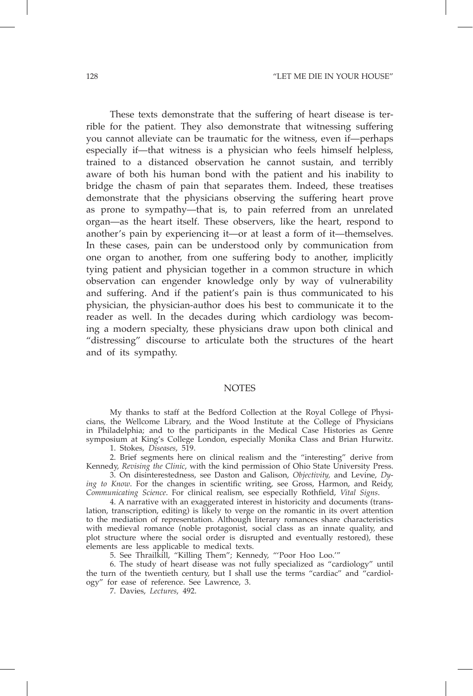These texts demonstrate that the suffering of heart disease is terrible for the patient. They also demonstrate that witnessing suffering you cannot alleviate can be traumatic for the witness, even if—perhaps especially if—that witness is a physician who feels himself helpless, trained to a distanced observation he cannot sustain, and terribly aware of both his human bond with the patient and his inability to bridge the chasm of pain that separates them. Indeed, these treatises demonstrate that the physicians observing the suffering heart prove as prone to sympathy—that is, to pain referred from an unrelated organ—as the heart itself. These observers, like the heart, respond to another's pain by experiencing it—or at least a form of it—themselves. In these cases, pain can be understood only by communication from one organ to another, from one suffering body to another, implicitly tying patient and physician together in a common structure in which observation can engender knowledge only by way of vulnerability and suffering. And if the patient's pain is thus communicated to his physician, the physician-author does his best to communicate it to the reader as well. In the decades during which cardiology was becoming a modern specialty, these physicians draw upon both clinical and "distressing" discourse to articulate both the structures of the heart and of its sympathy.

#### **NOTES**

My thanks to staff at the Bedford Collection at the Royal College of Physicians, the Wellcome Library, and the Wood Institute at the College of Physicians in Philadelphia; and to the participants in the Medical Case Histories as Genre symposium at King's College London, especially Monika Class and Brian Hurwitz.

1. Stokes, *Diseases*, 519.

2. Brief segments here on clinical realism and the "interesting" derive from Kennedy, *Revising the Clinic*, with the kind permission of Ohio State University Press.

3. On disinterestedness, see Daston and Galison, *Objectivity,* and Levine, *Dying to Know*. For the changes in scientific writing, see Gross, Harmon, and Reidy, *Communicating Science*. For clinical realism, see especially Rothfield, *Vital Signs*.

4. A narrative with an exaggerated interest in historicity and documents (translation, transcription, editing) is likely to verge on the romantic in its overt attention to the mediation of representation. Although literary romances share characteristics with medieval romance (noble protagonist, social class as an innate quality, and plot structure where the social order is disrupted and eventually restored), these elements are less applicable to medical texts.

5. See Thrailkill, "Killing Them"; Kennedy, "'Poor Hoo Loo.'"

6. The study of heart disease was not fully specialized as "cardiology" until the turn of the twentieth century, but I shall use the terms "cardiac" and "cardiology" for ease of reference. See Lawrence, 3.

7. Davies, *Lectures*, 492.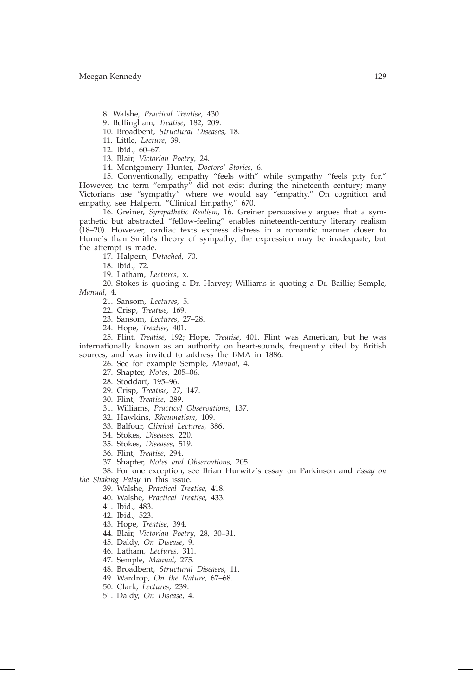8. Walshe, *Practical Treatise*, 430.

9. Bellingham, *Treatise*, 182, 209.

10. Broadbent, *Structural Diseases,* 18.

11. Little, *Lecture*, 39.

12. Ibid., 60–67.

13. Blair, *Victorian Poetry*, 24.

14. Montgomery Hunter, *Doctors' Stories*, 6.

15. Conventionally, empathy "feels with" while sympathy "feels pity for." However, the term "empathy" did not exist during the nineteenth century; many Victorians use "sympathy" where we would say "empathy." On cognition and empathy, see Halpern, "Clinical Empathy," 670.

16. Greiner, *Sympathetic Realism*, 16. Greiner persuasively argues that a sympathetic but abstracted "fellow-feeling" enables nineteenth-century literary realism (18–20). However, cardiac texts express distress in a romantic manner closer to Hume's than Smith's theory of sympathy; the expression may be inadequate, but the attempt is made.

17. Halpern, *Detached*, 70.

18. Ibid., 72.

19. Latham, *Lectures*, x.

20. Stokes is quoting a Dr. Harvey; Williams is quoting a Dr. Baillie; Semple, *Manual*, 4.

21. Sansom, *Lectures*, 5.

22. Crisp, *Treatise*, 169.

23. Sansom, *Lectures*, 27–28.

24. Hope, *Treatise*, 401.

25. Flint, *Treatise*, 192; Hope, *Treatise*, 401. Flint was American, but he was internationally known as an authority on heart-sounds, frequently cited by British sources, and was invited to address the BMA in 1886.

26. See for example Semple, *Manual*, 4.

27. Shapter, *Notes*, 205–06.

28. Stoddart, 195–96.

29. Crisp, *Treatise*, 27, 147.

30. Flint, *Treatise*, 289.

31. Williams, *Practical Observations*, 137.

32. Hawkins, *Rheumatism*, 109.

33. Balfour, *Clinical Lectures*, 386.

34. Stokes, *Diseases*, 220.

35. Stokes, *Diseases*, 519.

36. Flint, *Treatise*, 294.

37. Shapter, *Notes and Observations*, 205.

38. For one exception, see Brian Hurwitz's essay on Parkinson and *Essay on the Shaking Palsy* in this issue.

39. Walshe, *Practical Treatise*, 418.

40. Walshe, *Practical Treatise*, 433.

41. Ibid., 483.

42. Ibid., 523.

43. Hope, *Treatise*, 394.

44. Blair, *Victorian Poetry*, 28, 30–31.

45. Daldy, *On Disease*, 9.

46. Latham, *Lectures*, 311.

47. Semple, *Manual*, 275.

48. Broadbent, *Structural Diseases*, 11.

49. Wardrop, *On the Nature,* 67–68.

50. Clark, *Lectures*, 239.

51. Daldy, *On Disease*, 4.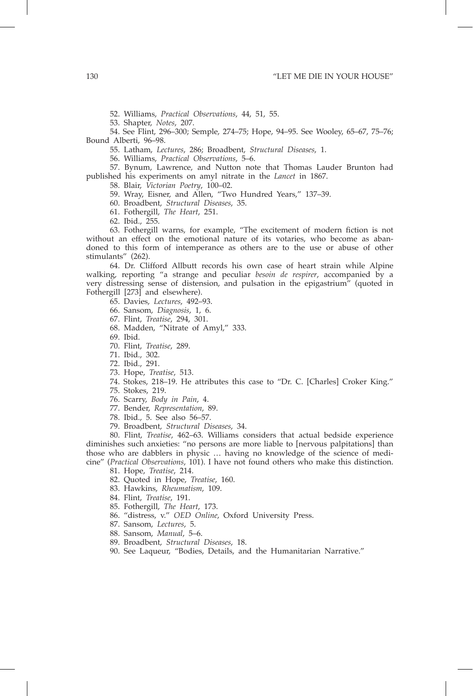52. Williams, *Practical Observations*, 44, 51, 55.

53. Shapter, *Notes*, 207.

54. See Flint, 296–300; Semple, 274–75; Hope, 94–95. See Wooley, 65–67, 75–76; Bound Alberti, 96–98.

55. Latham, *Lectures*, 286; Broadbent, *Structural Diseases*, 1.

56. Williams, *Practical Observations*, 5–6.

57. Bynum, Lawrence, and Nutton note that Thomas Lauder Brunton had published his experiments on amyl nitrate in the *Lancet* in 1867.

58. Blair, *Victorian Poetry*, 100–02.

- 59. Wray, Eisner, and Allen, "Two Hundred Years," 137–39.
- 60. Broadbent, *Structural Diseases*, 35.
- 61. Fothergill, *The Heart*, 251.

62. Ibid., 255.

63. Fothergill warns, for example, "The excitement of modern fiction is not without an effect on the emotional nature of its votaries, who become as abandoned to this form of intemperance as others are to the use or abuse of other stimulants" (262).

64. Dr. Clifford Allbutt records his own case of heart strain while Alpine walking, reporting "a strange and peculiar *besoin de respirer*, accompanied by a very distressing sense of distension, and pulsation in the epigastrium" (quoted in Fothergill [273] and elsewhere).

- 65. Davies, *Lectures*, 492–93.
- 66. Sansom, *Diagnosis*, 1, 6.
- 67. Flint, *Treatise*, 294, 301.
- 68. Madden, "Nitrate of Amyl," 333.
- 69. Ibid.
- 70. Flint, *Treatise*, 289.
- 71. Ibid., 302.
- 72. Ibid., 291.
- 73. Hope, *Treatise*, 513.
- 74. Stokes, 218–19. He attributes this case to "Dr. C. [Charles] Croker King."
- 75. Stokes, 219.
- 76. Scarry, *Body in Pain*, 4.
- 77. Bender, *Representation*, 89.
- 78. Ibid., 5. See also 56–57.
- 79. Broadbent, *Structural Diseases*, 34.

80. Flint, *Treatise*, 462–63. Williams considers that actual bedside experience diminishes such anxieties: "no persons are more liable to [nervous palpitations] than those who are dabblers in physic … having no knowledge of the science of medicine" (*Practical Observations*, 101). I have not found others who make this distinction.

- 81. Hope, *Treatise*, 214.
- 82. Quoted in Hope, *Treatise*, 160.
- 83. Hawkins, *Rheumatism*, 109.
- 84. Flint, *Treatise*, 191.
- 85. Fothergill, *The Heart*, 173.
- 86. "distress, v." *OED Online*, Oxford University Press.
- 87. Sansom, *Lectures*, 5.
- 88. Sansom, *Manual*, 5–6.
- 89. Broadbent, *Structural Diseases*, 18.
- 90. See Laqueur, "Bodies, Details, and the Humanitarian Narrative."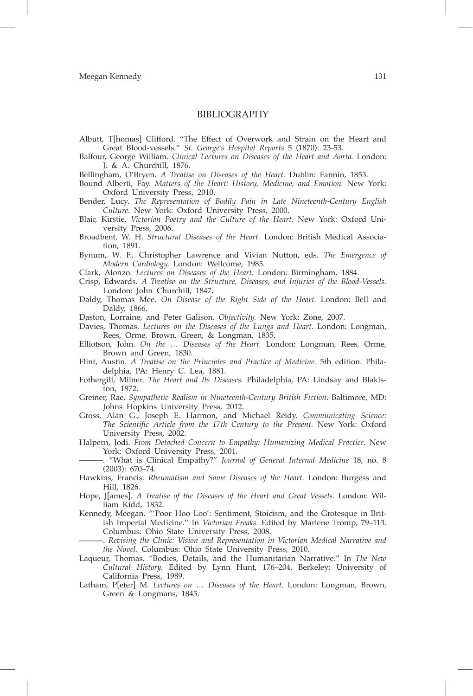#### BIBLIOGRAPHY

- Albutt, T[homas] Clifford. "The Effect of Overwork and Strain on the Heart and Great Blood-vessels." *St. George's Hospital Reports* 5 (1870): 23-53.
- Balfour, George William. *Clinical Lectures on Diseases of the Heart and Aorta.* London: J. & A. Churchill, 1876.
- Bellingham, O'Bryen. *A Treatise on Diseases of the Heart.* Dublin: Fannin, 1853.
- Bound Alberti, Fay. *Matters of the Heart: History, Medicine, and Emotion.* New York: Oxford University Press, 2010.
- Bender, Lucy. *The Representation of Bodily Pain in Late Nineteenth-Century English Culture*. New York: Oxford University Press, 2000.
- Blair, Kirstie. *Victorian Poetry and the Culture of the Heart.* New York: Oxford University Press, 2006.
- Broadbent, W. H. *Structural Diseases of the Heart.* London: British Medical Association, 1891.
- Bynum, W. F., Christopher Lawrence and Vivian Nutton, eds. *The Emergence of Modern Cardiology.* London: Wellcome, 1985.
- Clark, Alonzo. *Lectures on Diseases of the Heart.* London: Birmingham, 1884.
- Crisp, Edwards. *A Treatise on the Structure, Diseases, and Injuries of the Blood-Vessels.* London: John Churchill, 1847.
- Daldy, Thomas Mee. *On Disease of the Right Side of the Heart.* London: Bell and Daldy, 1866.
- Daston, Lorraine, and Peter Galison. *Objectivity.* New York: Zone, 2007.
- Davies, Thomas. *Lectures on the Diseases of the Lungs and Heart.* London: Longman, Rees, Orme, Brown, Green, & Longman, 1835.
- Elliotson, John. *On the … Diseases of the Heart.* London: Longman, Rees, Orme, Brown and Green, 1830.
- Flint, Austin. *A Treatise on the Principles and Practice of Medicine.* 5th edition. Philadelphia, PA: Henry C. Lea, 1881.
- Fothergill, Milner. *The Heart and Its Diseases.* Philadelphia, PA: Lindsay and Blakiston, 1872.
- Greiner, Rae. *Sympathetic Realism in Nineteenth-Century British Fiction*. Baltimore, MD: Johns Hopkins University Press, 2012.
- Gross, Alan G., Joseph E. Harmon, and Michael Reidy. *Communicating Science: The Scientific Article from the 17th Century to the Present.* New York: Oxford University Press, 2002.
- Halpern, Jodi. *From Detached Concern to Empathy: Humanizing Medical Practice*. New York: Oxford University Press, 2001.
- ———. "What is Clinical Empathy?" *Journal of General Internal Medicine* 18, no. 8 (2003): 670–74.
- Hawkins, Francis. *Rheumatism and Some Diseases of the Heart.* London: Burgess and Hill, 1826.
- Hope, J[ames]. *A Treatise of the Diseases of the Heart and Great Vessels.* London: William Kidd, 1832.
- Kennedy, Meegan. "'Poor Hoo Loo': Sentiment, Stoicism, and the Grotesque in British Imperial Medicine." In *Victorian Freaks.* Edited by Marlene Tromp, 79–113. Columbus: Ohio State University Press, 2008.
- ———. *Revising the Clinic: Vision and Representation in Victorian Medical Narrative and the Novel.* Columbus: Ohio State University Press, 2010.
- Laqueur, Thomas. "Bodies, Details, and the Humanitarian Narrative." In *The New Cultural History.* Edited by Lynn Hunt, 176–204. Berkeley: University of California Press, 1989.
- Latham, P[eter] M. *Lectures on … Diseases of the Heart.* London: Longman, Brown, Green & Longmans, 1845.